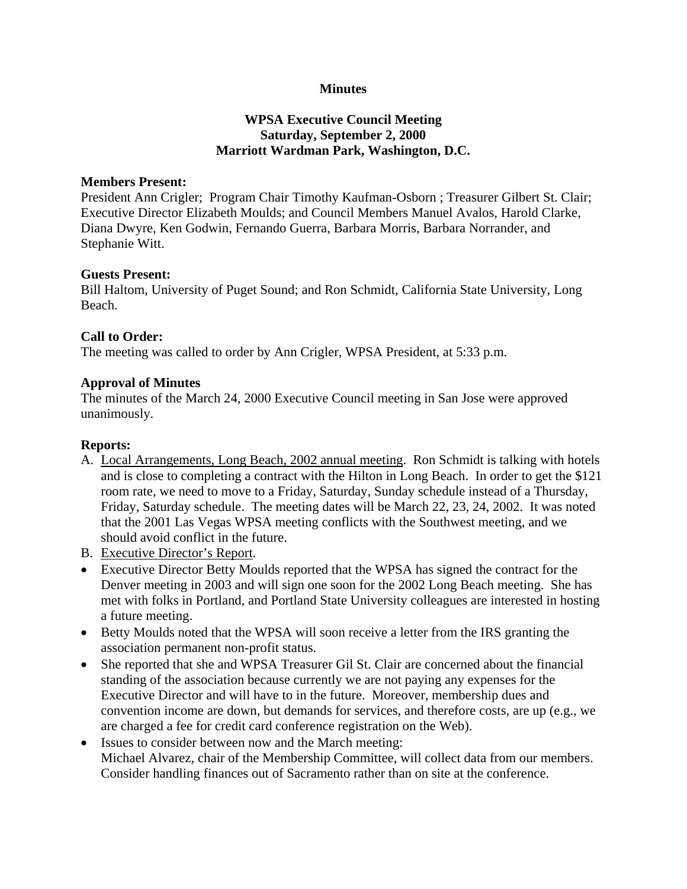# **Minutes**

# **WPSA Executive Council Meeting Saturday, September 2, 2000 Marriott Wardman Park, Washington, D.C.**

#### **Members Present:**

President Ann Crigler; Program Chair Timothy Kaufman-Osborn ; Treasurer Gilbert St. Clair; Executive Director Elizabeth Moulds; and Council Members Manuel Avalos, Harold Clarke, Diana Dwyre, Ken Godwin, Fernando Guerra, Barbara Morris, Barbara Norrander, and Stephanie Witt.

## **Guests Present:**

Bill Haltom, University of Puget Sound; and Ron Schmidt, California State University, Long Beach.

## **Call to Order:**

The meeting was called to order by Ann Crigler, WPSA President, at 5:33 p.m.

## **Approval of Minutes**

The minutes of the March 24, 2000 Executive Council meeting in San Jose were approved unanimously.

## **Reports:**

- A. Local Arrangements, Long Beach, 2002 annual meeting. Ron Schmidt is talking with hotels and is close to completing a contract with the Hilton in Long Beach. In order to get the \$121 room rate, we need to move to a Friday, Saturday, Sunday schedule instead of a Thursday, Friday, Saturday schedule. The meeting dates will be March 22, 23, 24, 2002. It was noted that the 2001 Las Vegas WPSA meeting conflicts with the Southwest meeting, and we should avoid conflict in the future.
- B. Executive Director's Report.
- Executive Director Betty Moulds reported that the WPSA has signed the contract for the Denver meeting in 2003 and will sign one soon for the 2002 Long Beach meeting. She has met with folks in Portland, and Portland State University colleagues are interested in hosting a future meeting.
- Betty Moulds noted that the WPSA will soon receive a letter from the IRS granting the association permanent non-profit status.
- She reported that she and WPSA Treasurer Gil St. Clair are concerned about the financial standing of the association because currently we are not paying any expenses for the Executive Director and will have to in the future. Moreover, membership dues and convention income are down, but demands for services, and therefore costs, are up (e.g., we are charged a fee for credit card conference registration on the Web).
- Issues to consider between now and the March meeting: Michael Alvarez, chair of the Membership Committee, will collect data from our members. Consider handling finances out of Sacramento rather than on site at the conference.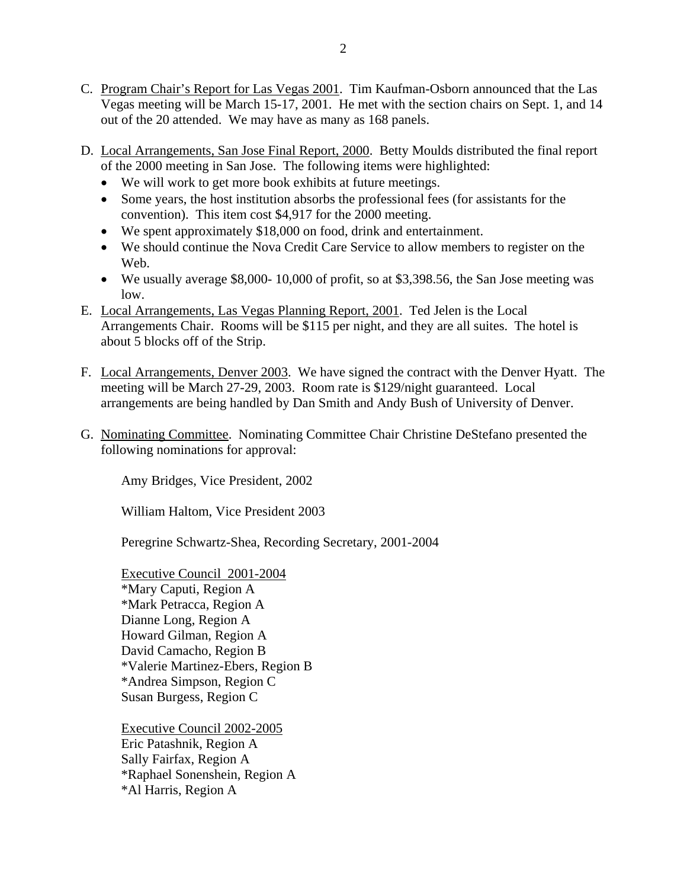- C. Program Chair's Report for Las Vegas 2001. Tim Kaufman-Osborn announced that the Las Vegas meeting will be March 15-17, 2001. He met with the section chairs on Sept. 1, and 14 out of the 20 attended. We may have as many as 168 panels.
- D. Local Arrangements, San Jose Final Report, 2000. Betty Moulds distributed the final report of the 2000 meeting in San Jose. The following items were highlighted:
	- We will work to get more book exhibits at future meetings.
	- Some years, the host institution absorbs the professional fees (for assistants for the convention). This item cost \$4,917 for the 2000 meeting.
	- We spent approximately \$18,000 on food, drink and entertainment.
	- We should continue the Nova Credit Care Service to allow members to register on the Web.
	- We usually average \$8,000- 10,000 of profit, so at \$3,398.56, the San Jose meeting was low.
- E. Local Arrangements, Las Vegas Planning Report, 2001. Ted Jelen is the Local Arrangements Chair. Rooms will be \$115 per night, and they are all suites. The hotel is about 5 blocks off of the Strip.
- F. Local Arrangements, Denver 2003. We have signed the contract with the Denver Hyatt. The meeting will be March 27-29, 2003. Room rate is \$129/night guaranteed. Local arrangements are being handled by Dan Smith and Andy Bush of University of Denver.
- G. Nominating Committee. Nominating Committee Chair Christine DeStefano presented the following nominations for approval:

Amy Bridges, Vice President, 2002

William Haltom, Vice President 2003

Peregrine Schwartz-Shea, Recording Secretary, 2001-2004

Executive Council 2001-2004 \*Mary Caputi, Region A \*Mark Petracca, Region A Dianne Long, Region A Howard Gilman, Region A David Camacho, Region B \*Valerie Martinez-Ebers, Region B \*Andrea Simpson, Region C Susan Burgess, Region C

Executive Council 2002-2005 Eric Patashnik, Region A Sally Fairfax, Region A \*Raphael Sonenshein, Region A \*Al Harris, Region A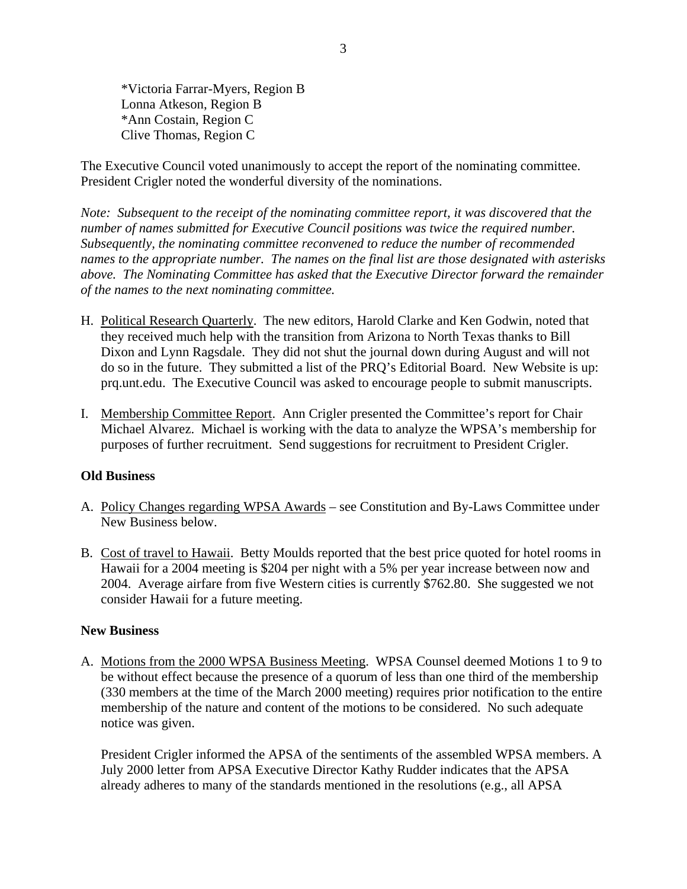\*Victoria Farrar-Myers, Region B Lonna Atkeson, Region B \*Ann Costain, Region C Clive Thomas, Region C

The Executive Council voted unanimously to accept the report of the nominating committee. President Crigler noted the wonderful diversity of the nominations.

*Note: Subsequent to the receipt of the nominating committee report, it was discovered that the number of names submitted for Executive Council positions was twice the required number. Subsequently, the nominating committee reconvened to reduce the number of recommended names to the appropriate number. The names on the final list are those designated with asterisks above. The Nominating Committee has asked that the Executive Director forward the remainder of the names to the next nominating committee.* 

- H. Political Research Quarterly. The new editors, Harold Clarke and Ken Godwin, noted that they received much help with the transition from Arizona to North Texas thanks to Bill Dixon and Lynn Ragsdale. They did not shut the journal down during August and will not do so in the future. They submitted a list of the PRQ's Editorial Board. New Website is up: prq.unt.edu. The Executive Council was asked to encourage people to submit manuscripts.
- I. Membership Committee Report. Ann Crigler presented the Committee's report for Chair Michael Alvarez. Michael is working with the data to analyze the WPSA's membership for purposes of further recruitment. Send suggestions for recruitment to President Crigler.

## **Old Business**

- A. Policy Changes regarding WPSA Awards see Constitution and By-Laws Committee under New Business below.
- B. Cost of travel to Hawaii. Betty Moulds reported that the best price quoted for hotel rooms in Hawaii for a 2004 meeting is \$204 per night with a 5% per year increase between now and 2004. Average airfare from five Western cities is currently \$762.80. She suggested we not consider Hawaii for a future meeting.

#### **New Business**

A. Motions from the 2000 WPSA Business Meeting. WPSA Counsel deemed Motions 1 to 9 to be without effect because the presence of a quorum of less than one third of the membership (330 members at the time of the March 2000 meeting) requires prior notification to the entire membership of the nature and content of the motions to be considered. No such adequate notice was given.

President Crigler informed the APSA of the sentiments of the assembled WPSA members. A July 2000 letter from APSA Executive Director Kathy Rudder indicates that the APSA already adheres to many of the standards mentioned in the resolutions (e.g., all APSA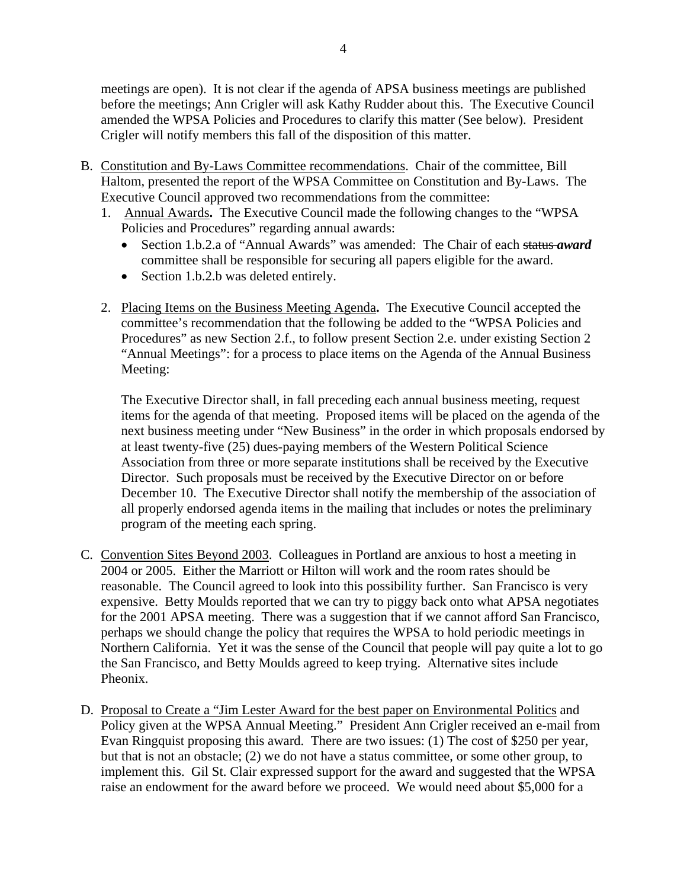meetings are open). It is not clear if the agenda of APSA business meetings are published before the meetings; Ann Crigler will ask Kathy Rudder about this. The Executive Council amended the WPSA Policies and Procedures to clarify this matter (See below). President Crigler will notify members this fall of the disposition of this matter.

- B. Constitution and By-Laws Committee recommendations. Chair of the committee, Bill Haltom, presented the report of the WPSA Committee on Constitution and By-Laws. The Executive Council approved two recommendations from the committee:
	- 1. Annual Awards**.** The Executive Council made the following changes to the "WPSA Policies and Procedures" regarding annual awards:
		- Section 1.b.2.a of "Annual Awards" was amended: The Chair of each status *award* committee shall be responsible for securing all papers eligible for the award.
		- Section 1.b.2.b was deleted entirely.
	- 2. Placing Items on the Business Meeting Agenda**.** The Executive Council accepted the committee's recommendation that the following be added to the "WPSA Policies and Procedures" as new Section 2.f., to follow present Section 2.e. under existing Section 2 "Annual Meetings": for a process to place items on the Agenda of the Annual Business Meeting:

The Executive Director shall, in fall preceding each annual business meeting, request items for the agenda of that meeting. Proposed items will be placed on the agenda of the next business meeting under "New Business" in the order in which proposals endorsed by at least twenty-five (25) dues-paying members of the Western Political Science Association from three or more separate institutions shall be received by the Executive Director. Such proposals must be received by the Executive Director on or before December 10. The Executive Director shall notify the membership of the association of all properly endorsed agenda items in the mailing that includes or notes the preliminary program of the meeting each spring.

- C. Convention Sites Beyond 2003. Colleagues in Portland are anxious to host a meeting in 2004 or 2005. Either the Marriott or Hilton will work and the room rates should be reasonable. The Council agreed to look into this possibility further. San Francisco is very expensive. Betty Moulds reported that we can try to piggy back onto what APSA negotiates for the 2001 APSA meeting. There was a suggestion that if we cannot afford San Francisco, perhaps we should change the policy that requires the WPSA to hold periodic meetings in Northern California. Yet it was the sense of the Council that people will pay quite a lot to go the San Francisco, and Betty Moulds agreed to keep trying. Alternative sites include Pheonix.
- D. Proposal to Create a "Jim Lester Award for the best paper on Environmental Politics and Policy given at the WPSA Annual Meeting." President Ann Crigler received an e-mail from Evan Ringquist proposing this award. There are two issues: (1) The cost of \$250 per year, but that is not an obstacle; (2) we do not have a status committee, or some other group, to implement this. Gil St. Clair expressed support for the award and suggested that the WPSA raise an endowment for the award before we proceed. We would need about \$5,000 for a